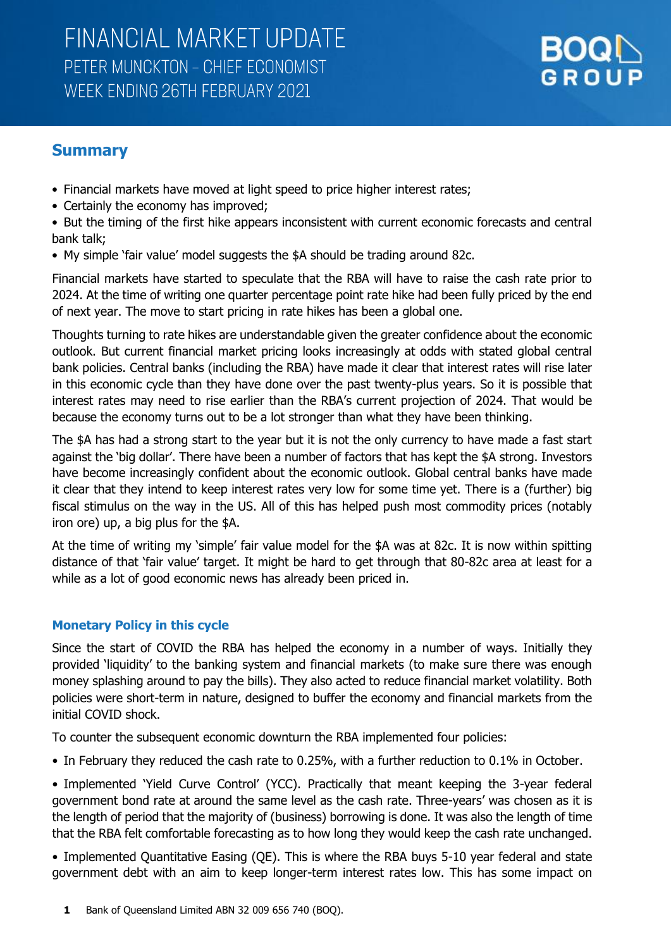

### **Summary**

- Financial markets have moved at light speed to price higher interest rates;
- Certainly the economy has improved;

• But the timing of the first hike appears inconsistent with current economic forecasts and central bank talk;

• My simple 'fair value' model suggests the \$A should be trading around 82c.

Financial markets have started to speculate that the RBA will have to raise the cash rate prior to 2024. At the time of writing one quarter percentage point rate hike had been fully priced by the end of next year. The move to start pricing in rate hikes has been a global one.

Thoughts turning to rate hikes are understandable given the greater confidence about the economic outlook. But current financial market pricing looks increasingly at odds with stated global central bank policies. Central banks (including the RBA) have made it clear that interest rates will rise later in this economic cycle than they have done over the past twenty-plus years. So it is possible that interest rates may need to rise earlier than the RBA's current projection of 2024. That would be because the economy turns out to be a lot stronger than what they have been thinking.

The \$A has had a strong start to the year but it is not the only currency to have made a fast start against the 'big dollar'. There have been a number of factors that has kept the \$A strong. Investors have become increasingly confident about the economic outlook. Global central banks have made it clear that they intend to keep interest rates very low for some time yet. There is a (further) big fiscal stimulus on the way in the US. All of this has helped push most commodity prices (notably iron ore) up, a big plus for the \$A.

At the time of writing my 'simple' fair value model for the \$A was at 82c. It is now within spitting distance of that 'fair value' target. It might be hard to get through that 80-82c area at least for a while as a lot of good economic news has already been priced in.

### **Monetary Policy in this cycle**

Since the start of COVID the RBA has helped the economy in a number of ways. Initially they provided 'liquidity' to the banking system and financial markets (to make sure there was enough money splashing around to pay the bills). They also acted to reduce financial market volatility. Both policies were short-term in nature, designed to buffer the economy and financial markets from the initial COVID shock.

To counter the subsequent economic downturn the RBA implemented four policies:

• In February they reduced the cash rate to 0.25%, with a further reduction to 0.1% in October.

• Implemented 'Yield Curve Control' (YCC). Practically that meant keeping the 3-year federal government bond rate at around the same level as the cash rate. Three-years' was chosen as it is the length of period that the majority of (business) borrowing is done. It was also the length of time that the RBA felt comfortable forecasting as to how long they would keep the cash rate unchanged.

• Implemented Quantitative Easing (QE). This is where the RBA buys 5-10 year federal and state government debt with an aim to keep longer-term interest rates low. This has some impact on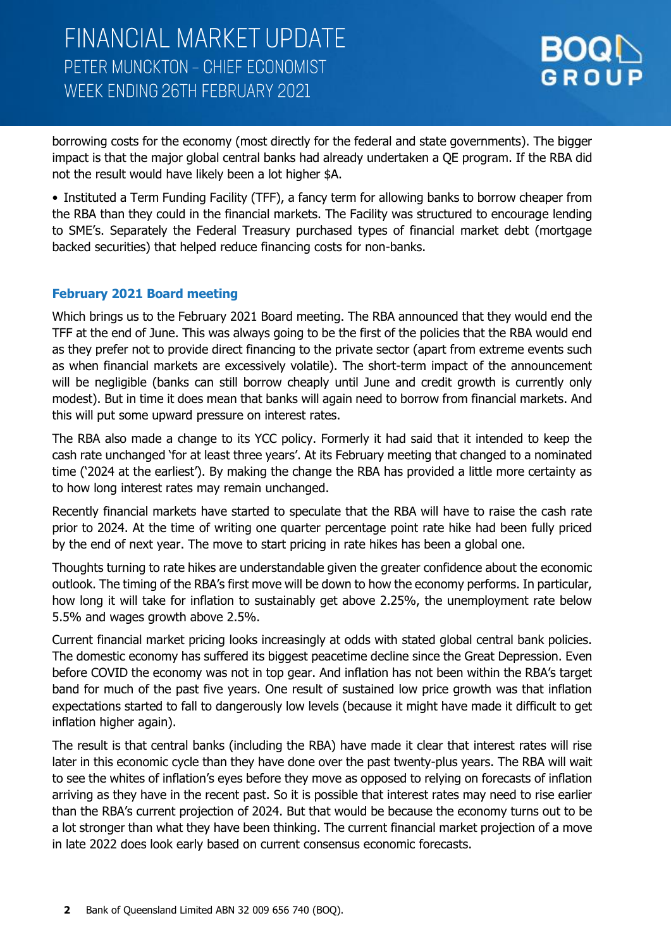

borrowing costs for the economy (most directly for the federal and state governments). The bigger impact is that the major global central banks had already undertaken a QE program. If the RBA did not the result would have likely been a lot higher \$A.

• Instituted a Term Funding Facility (TFF), a fancy term for allowing banks to borrow cheaper from the RBA than they could in the financial markets. The Facility was structured to encourage lending to SME's. Separately the Federal Treasury purchased types of financial market debt (mortgage backed securities) that helped reduce financing costs for non-banks.

### **February 2021 Board meeting**

Which brings us to the February 2021 Board meeting. The RBA announced that they would end the TFF at the end of June. This was always going to be the first of the policies that the RBA would end as they prefer not to provide direct financing to the private sector (apart from extreme events such as when financial markets are excessively volatile). The short-term impact of the announcement will be negligible (banks can still borrow cheaply until June and credit growth is currently only modest). But in time it does mean that banks will again need to borrow from financial markets. And this will put some upward pressure on interest rates.

The RBA also made a change to its YCC policy. Formerly it had said that it intended to keep the cash rate unchanged 'for at least three years'. At its February meeting that changed to a nominated time ('2024 at the earliest'). By making the change the RBA has provided a little more certainty as to how long interest rates may remain unchanged.

Recently financial markets have started to speculate that the RBA will have to raise the cash rate prior to 2024. At the time of writing one quarter percentage point rate hike had been fully priced by the end of next year. The move to start pricing in rate hikes has been a global one.

Thoughts turning to rate hikes are understandable given the greater confidence about the economic outlook. The timing of the RBA's first move will be down to how the economy performs. In particular, how long it will take for inflation to sustainably get above 2.25%, the unemployment rate below 5.5% and wages growth above 2.5%.

Current financial market pricing looks increasingly at odds with stated global central bank policies. The domestic economy has suffered its biggest peacetime decline since the Great Depression. Even before COVID the economy was not in top gear. And inflation has not been within the RBA's target band for much of the past five years. One result of sustained low price growth was that inflation expectations started to fall to dangerously low levels (because it might have made it difficult to get inflation higher again).

The result is that central banks (including the RBA) have made it clear that interest rates will rise later in this economic cycle than they have done over the past twenty-plus years. The RBA will wait to see the whites of inflation's eyes before they move as opposed to relying on forecasts of inflation arriving as they have in the recent past. So it is possible that interest rates may need to rise earlier than the RBA's current projection of 2024. But that would be because the economy turns out to be a lot stronger than what they have been thinking. The current financial market projection of a move in late 2022 does look early based on current consensus economic forecasts.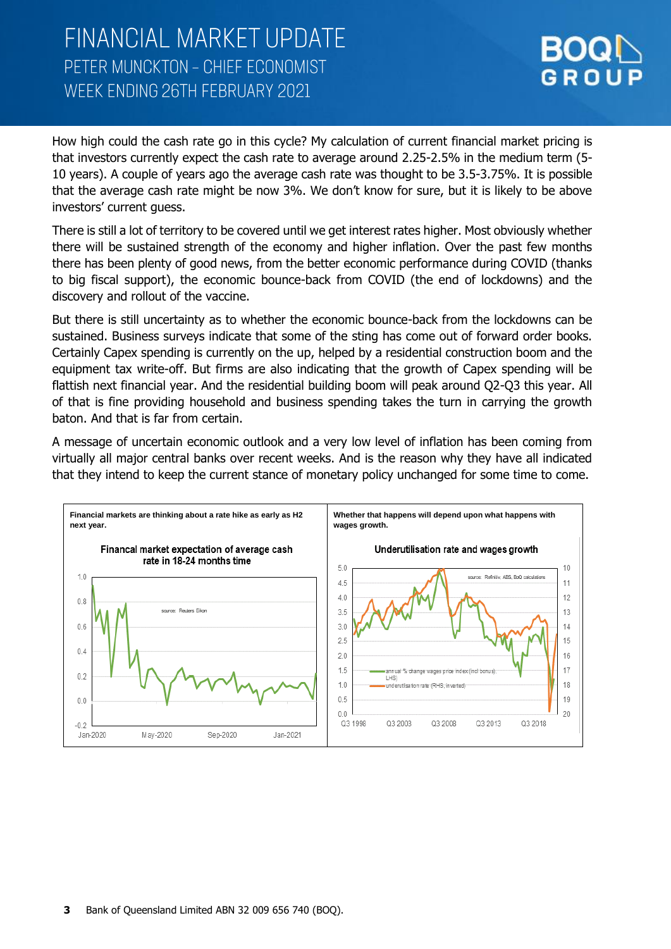

How high could the cash rate go in this cycle? My calculation of current financial market pricing is that investors currently expect the cash rate to average around 2.25-2.5% in the medium term (5- 10 years). A couple of years ago the average cash rate was thought to be 3.5-3.75%. It is possible that the average cash rate might be now 3%. We don't know for sure, but it is likely to be above investors' current guess.

There is still a lot of territory to be covered until we get interest rates higher. Most obviously whether there will be sustained strength of the economy and higher inflation. Over the past few months there has been plenty of good news, from the better economic performance during COVID (thanks to big fiscal support), the economic bounce-back from COVID (the end of lockdowns) and the discovery and rollout of the vaccine.

But there is still uncertainty as to whether the economic bounce-back from the lockdowns can be sustained. Business surveys indicate that some of the sting has come out of forward order books. Certainly Capex spending is currently on the up, helped by a residential construction boom and the equipment tax write-off. But firms are also indicating that the growth of Capex spending will be flattish next financial year. And the residential building boom will peak around Q2-Q3 this year. All of that is fine providing household and business spending takes the turn in carrying the growth baton. And that is far from certain.

A message of uncertain economic outlook and a very low level of inflation has been coming from virtually all major central banks over recent weeks. And is the reason why they have all indicated that they intend to keep the current stance of monetary policy unchanged for some time to come.

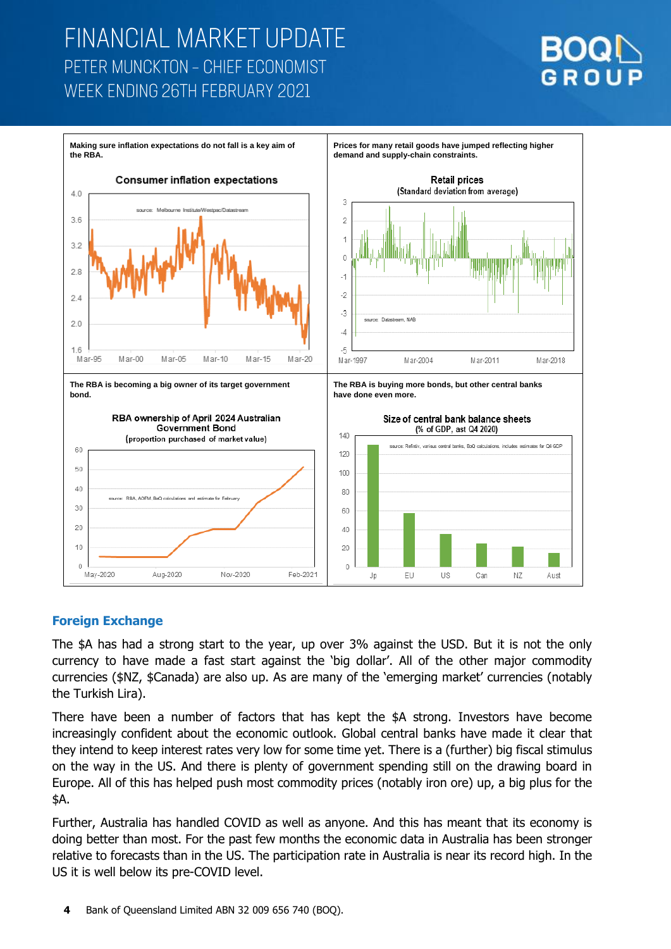



### **Foreign Exchange**

The \$A has had a strong start to the year, up over 3% against the USD. But it is not the only currency to have made a fast start against the 'big dollar'. All of the other major commodity currencies (\$NZ, \$Canada) are also up. As are many of the 'emerging market' currencies (notably the Turkish Lira).

There have been a number of factors that has kept the \$A strong. Investors have become increasingly confident about the economic outlook. Global central banks have made it clear that they intend to keep interest rates very low for some time yet. There is a (further) big fiscal stimulus on the way in the US. And there is plenty of government spending still on the drawing board in Europe. All of this has helped push most commodity prices (notably iron ore) up, a big plus for the \$A.

Further, Australia has handled COVID as well as anyone. And this has meant that its economy is doing better than most. For the past few months the economic data in Australia has been stronger relative to forecasts than in the US. The participation rate in Australia is near its record high. In the US it is well below its pre-COVID level.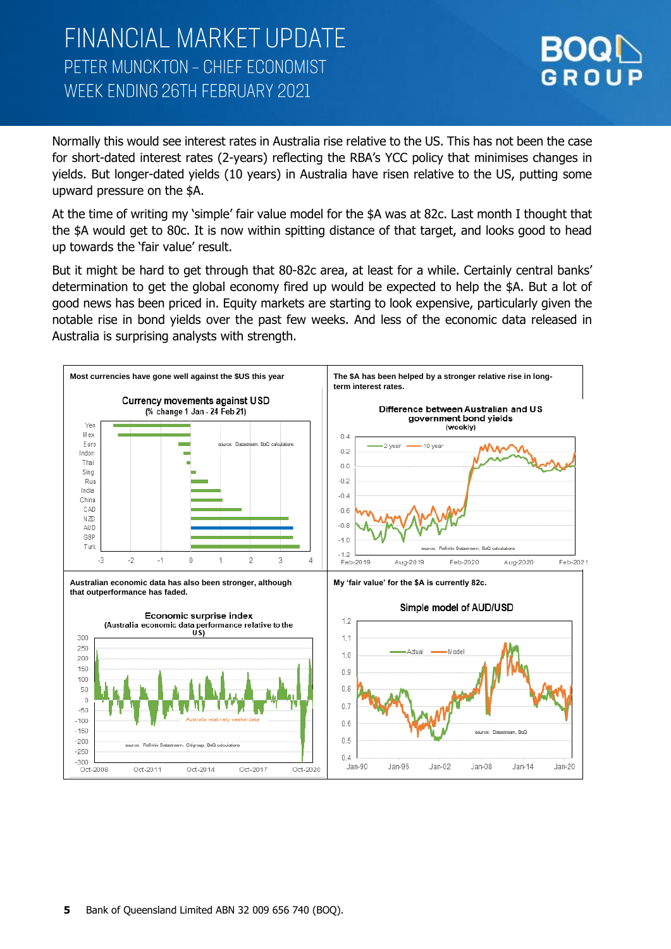

Normally this would see interest rates in Australia rise relative to the US. This has not been the case for short-dated interest rates (2-years) reflecting the RBA's YCC policy that minimises changes in yields. But longer-dated yields (10 years) in Australia have risen relative to the US, putting some upward pressure on the \$A.

At the time of writing my 'simple' fair value model for the \$A was at 82c. Last month I thought that the \$A would get to 80c. It is now within spitting distance of that target, and looks good to head up towards the 'fair value' result.

But it might be hard to get through that 80-82c area, at least for a while. Certainly central banks' determination to get the global economy fired up would be expected to help the \$A. But a lot of good news has been priced in. Equity markets are starting to look expensive, particularly given the notable rise in bond yields over the past few weeks. And less of the economic data released in Australia is surprising analysts with strength.